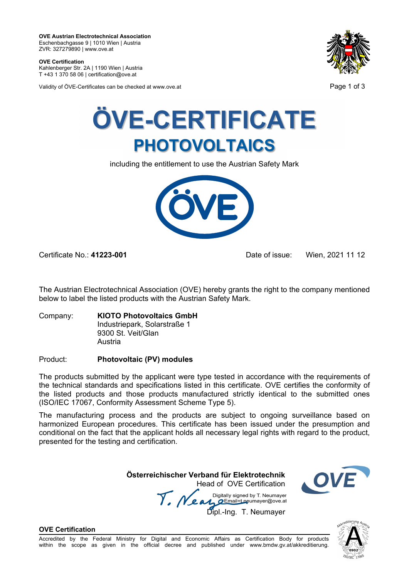**OVE Austrian Electrotechnical Association**  Eschenbachgasse 9 | 1010 Wien | Austria ZVR: 327279890 | www.ove.at

**OVE Certification**  Kahlenberger Str. 2A | 1190 Wien | Austria T +43 1 370 58 06 | certification@ove.at

Validity of ÖVE-Certificates can be checked at www.ove.at **Page 1 of 3** Page 1 of 3





including the entitlement to use the Austrian Safety Mark



Certificate No.: **41223-001** Date of issue: Wien, 2021 11 12

The Austrian Electrotechnical Association (OVE) hereby grants the right to the company mentioned below to label the listed products with the Austrian Safety Mark.

Company: **KIOTO Photovoltaics GmbH** Industriepark, Solarstraße 1 9300 St. Veit/Glan Austria

## Product: **Photovoltaic (PV) modules**

The products submitted by the applicant were type tested in accordance with the requirements of the technical standards and specifications listed in this certificate. OVE certifies the conformity of the listed products and those products manufactured strictly identical to the submitted ones (ISO/IEC 17067, Conformity Assessment Scheme Type 5).

The manufacturing process and the products are subject to ongoing surveillance based on harmonized European procedures. This certificate has been issued under the presumption and conditional on the fact that the applicant holds all necessary legal rights with regard to the product, presented for the testing and certification.

**Österreichischer Verband für Elektrotechnik** 

 Head of OVE Certification *T. Near* Digitally signed by 1. Neumayer<br>Dipl.-Ing. T. Neumayer



#### **OVE Certification**

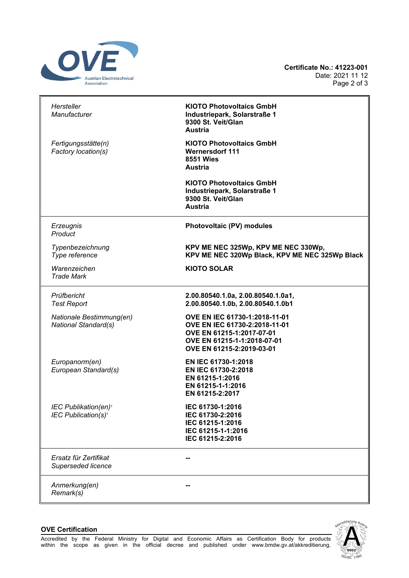

| Hersteller<br><b>Manufacturer</b>                                   | <b>KIOTO Photovoltaics GmbH</b><br>Industriepark, Solarstraße 1<br>9300 St. Veit/Glan<br><b>Austria</b>                                                 |
|---------------------------------------------------------------------|---------------------------------------------------------------------------------------------------------------------------------------------------------|
| Fertigungsstätte(n)<br>Factory location(s)                          | <b>KIOTO Photovoltaics GmbH</b><br><b>Wernersdorf 111</b><br><b>8551 Wies</b><br><b>Austria</b>                                                         |
|                                                                     | <b>KIOTO Photovoltaics GmbH</b><br>Industriepark, Solarstraße 1<br>9300 St. Veit/Glan<br><b>Austria</b>                                                 |
| Erzeugnis<br>Product                                                | Photovoltaic (PV) modules                                                                                                                               |
| Typenbezeichnung<br>Type reference                                  | KPV ME NEC 325Wp, KPV ME NEC 330Wp,<br>KPV ME NEC 320Wp Black, KPV ME NEC 325Wp Black                                                                   |
| Warenzeichen<br><b>Trade Mark</b>                                   | <b>KIOTO SOLAR</b>                                                                                                                                      |
| Prüfbericht<br><b>Test Report</b>                                   | 2.00.80540.1.0a, 2.00.80540.1.0a1,<br>2.00.80540.1.0b, 2.00.80540.1.0b1                                                                                 |
| Nationale Bestimmung(en)<br>National Standard(s)                    | OVE EN IEC 61730-1:2018-11-01<br>OVE EN IEC 61730-2:2018-11-01<br>OVE EN 61215-1:2017-07-01<br>OVE EN 61215-1-1:2018-07-01<br>OVE EN 61215-2:2019-03-01 |
| Europanorm(en)<br>European Standard(s)                              | EN IEC 61730-1:2018<br>EN IEC 61730-2:2018<br>EN 61215-1:2016<br>EN 61215-1-1:2016<br>EN 61215-2:2017                                                   |
| IEC Publikation(en) <sup>1</sup><br>IEC Publication(s) <sup>1</sup> | IEC 61730-1:2016<br>IEC 61730-2:2016<br>IEC 61215-1:2016<br>IEC 61215-1-1:2016<br>IEC 61215-2:2016                                                      |
| Ersatz für Zertifikat<br>Superseded licence                         |                                                                                                                                                         |
| Anmerkung(en)<br>Remark(s)                                          |                                                                                                                                                         |

### **OVE Certification**